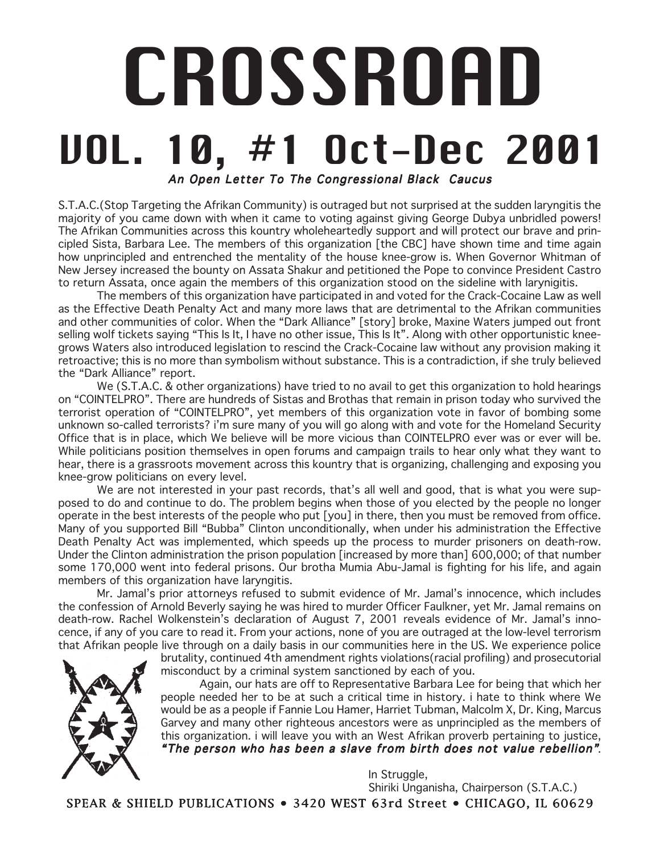# CROSSROAD VOL. 10, #1 Oct-Dec 2001 An Open Letter To The Congressional Black Caucus

S.T.A.C.(Stop Targeting the Afrikan Community) is outraged but not surprised at the sudden laryngitis the majority of you came down with when it came to voting against giving George Dubya unbridled powers! The Afrikan Communities across this kountry wholeheartedly support and will protect our brave and principled Sista, Barbara Lee. The members of this organization [the CBC] have shown time and time again how unprincipled and entrenched the mentality of the house knee-grow is. When Governor Whitman of New Jersey increased the bounty on Assata Shakur and petitioned the Pope to convince President Castro to return Assata, once again the members of this organization stood on the sideline with larynigitis.

The members of this organization have participated in and voted for the Crack-Cocaine Law as well as the Effective Death Penalty Act and many more laws that are detrimental to the Afrikan communities and other communities of color. When the "Dark Alliance" [story] broke, Maxine Waters jumped out front selling wolf tickets saying "This Is It, I have no other issue, This Is It". Along with other opportunistic kneegrows Waters also introduced legislation to rescind the Crack-Cocaine law without any provision making it retroactive; this is no more than symbolism without substance. This is a contradiction, if she truly believed the "Dark Alliance" report.

We (S.T.A.C. & other organizations) have tried to no avail to get this organization to hold hearings on "COINTELPRO". There are hundreds of Sistas and Brothas that remain in prison today who survived the terrorist operation of "COINTELPRO", yet members of this organization vote in favor of bombing some unknown so-called terrorists? i'm sure many of you will go along with and vote for the Homeland Security Office that is in place, which We believe will be more vicious than COINTELPRO ever was or ever will be. While politicians position themselves in open forums and campaign trails to hear only what they want to hear, there is a grassroots movement across this kountry that is organizing, challenging and exposing you knee-grow politicians on every level.

We are not interested in your past records, that's all well and good, that is what you were supposed to do and continue to do. The problem begins when those of you elected by the people no longer operate in the best interests of the people who put [you] in there, then you must be removed from office. Many of you supported Bill "Bubba" Clinton unconditionally, when under his administration the Effective Death Penalty Act was implemented, which speeds up the process to murder prisoners on death-row. Under the Clinton administration the prison population [increased by more than] 600,000; of that number some 170,000 went into federal prisons. Our brotha Mumia Abu-Jamal is fighting for his life, and again members of this organization have laryngitis.

Mr. Jamal's prior attorneys refused to submit evidence of Mr. Jamal's innocence, which includes the confession of Arnold Beverly saying he was hired to murder Officer Faulkner, yet Mr. Jamal remains on death-row. Rachel Wolkenstein's declaration of August 7, 2001 reveals evidence of Mr. Jamal's innocence, if any of you care to read it. From your actions, none of you are outraged at the low-level terrorism that Afrikan people live through on a daily basis in our communities here in the US. We experience police

brutality, continued 4th amendment rights violations(racial profiling) and prosecutorial misconduct by a criminal system sanctioned by each of you.

Again, our hats are off to Representative Barbara Lee for being that which her people needed her to be at such a critical time in history. i hate to think where We would be as a people if Fannie Lou Hamer, Harriet Tubman, Malcolm X, Dr. King, Marcus Garvey and many other righteous ancestors were as unprincipled as the members of this organization. i will leave you with an West Afrikan proverb pertaining to justice, "The person who has been a slave from birth does not value rebellion".

> In Struggle, Shiriki Unganisha, Chairperson (S.T.A.C.)

SPEAR & SHIELD PUBLICATIONS • 3420 WEST 63rd Street • CHICAGO, IL 60629

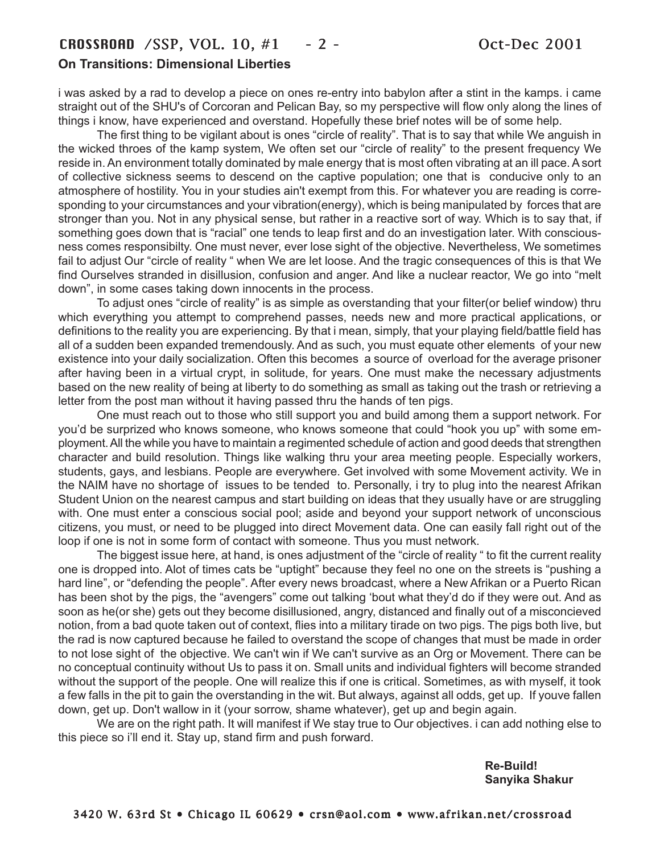# CROSSROAD /SSP, VOL. 10, #1 - 2 - Oct-Dec 2001 **On Transitions: Dimensional Liberties**

i was asked by a rad to develop a piece on ones re-entry into babylon after a stint in the kamps. i came straight out of the SHU's of Corcoran and Pelican Bay, so my perspective will flow only along the lines of things i know, have experienced and overstand. Hopefully these brief notes will be of some help.

The first thing to be vigilant about is ones "circle of reality". That is to say that while We anguish in the wicked throes of the kamp system, We often set our "circle of reality" to the present frequency We reside in. An environment totally dominated by male energy that is most often vibrating at an ill pace. A sort of collective sickness seems to descend on the captive population; one that is conducive only to an atmosphere of hostility. You in your studies ain't exempt from this. For whatever you are reading is corresponding to your circumstances and your vibration(energy), which is being manipulated by forces that are stronger than you. Not in any physical sense, but rather in a reactive sort of way. Which is to say that, if something goes down that is "racial" one tends to leap first and do an investigation later. With consciousness comes responsibilty. One must never, ever lose sight of the objective. Nevertheless, We sometimes fail to adjust Our "circle of reality " when We are let loose. And the tragic consequences of this is that We find Ourselves stranded in disillusion, confusion and anger. And like a nuclear reactor, We go into "melt down", in some cases taking down innocents in the process.

To adjust ones "circle of reality" is as simple as overstanding that your filter(or belief window) thru which everything you attempt to comprehend passes, needs new and more practical applications, or definitions to the reality you are experiencing. By that i mean, simply, that your playing field/battle field has all of a sudden been expanded tremendously. And as such, you must equate other elements of your new existence into your daily socialization. Often this becomes a source of overload for the average prisoner after having been in a virtual crypt, in solitude, for years. One must make the necessary adjustments based on the new reality of being at liberty to do something as small as taking out the trash or retrieving a letter from the post man without it having passed thru the hands of ten pigs.

One must reach out to those who still support you and build among them a support network. For you'd be surprized who knows someone, who knows someone that could "hook you up" with some employment. All the while you have to maintain a regimented schedule of action and good deeds that strengthen character and build resolution. Things like walking thru your area meeting people. Especially workers, students, gays, and lesbians. People are everywhere. Get involved with some Movement activity. We in the NAIM have no shortage of issues to be tended to. Personally, i try to plug into the nearest Afrikan Student Union on the nearest campus and start building on ideas that they usually have or are struggling with. One must enter a conscious social pool; aside and beyond your support network of unconscious citizens, you must, or need to be plugged into direct Movement data. One can easily fall right out of the loop if one is not in some form of contact with someone. Thus you must network.

The biggest issue here, at hand, is ones adjustment of the "circle of reality " to fit the current reality one is dropped into. Alot of times cats be "uptight" because they feel no one on the streets is "pushing a hard line", or "defending the people". After every news broadcast, where a New Afrikan or a Puerto Rican has been shot by the pigs, the "avengers" come out talking 'bout what they'd do if they were out. And as soon as he(or she) gets out they become disillusioned, angry, distanced and finally out of a misconcieved notion, from a bad quote taken out of context, flies into a military tirade on two pigs. The pigs both live, but the rad is now captured because he failed to overstand the scope of changes that must be made in order to not lose sight of the objective. We can't win if We can't survive as an Org or Movement. There can be no conceptual continuity without Us to pass it on. Small units and individual fighters will become stranded without the support of the people. One will realize this if one is critical. Sometimes, as with myself, it took a few falls in the pit to gain the overstanding in the wit. But always, against all odds, get up. If youve fallen down, get up. Don't wallow in it (your sorrow, shame whatever), get up and begin again.

We are on the right path. It will manifest if We stay true to Our objectives. i can add nothing else to this piece so i'll end it. Stay up, stand firm and push forward.

> **Re-Build! Sanyika Shakur**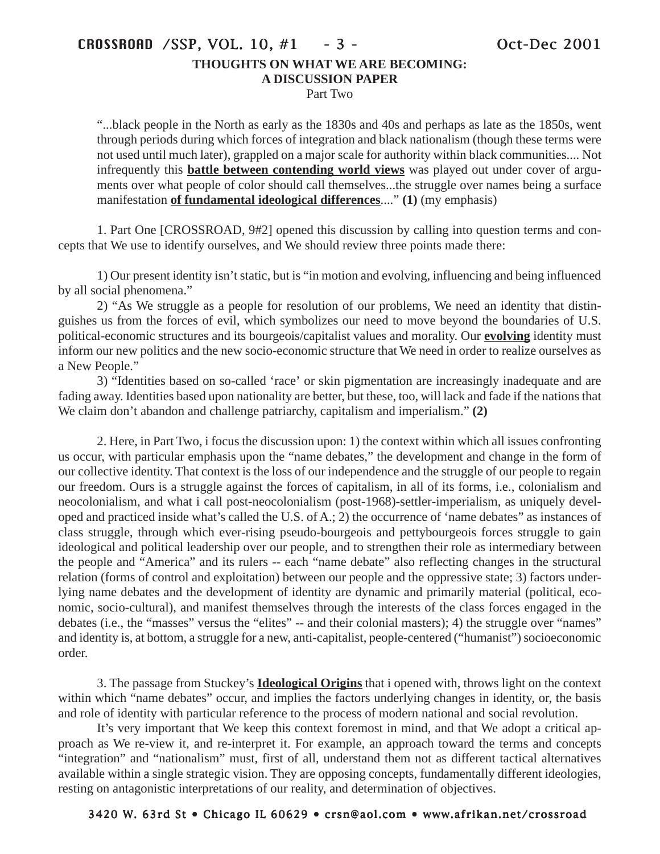# CROSSROAD /SSP, VOL. 10, #1 - 3 - Oct-Dec 2001 **THOUGHTS ON WHAT WE ARE BECOMING: A DISCUSSION PAPER**

Part Two

"...black people in the North as early as the 1830s and 40s and perhaps as late as the 1850s, went through periods during which forces of integration and black nationalism (though these terms were not used until much later), grappled on a major scale for authority within black communities.... Not infrequently this **battle between contending world views** was played out under cover of arguments over what people of color should call themselves...the struggle over names being a surface manifestation **of fundamental ideological differences**...." **(1)** (my emphasis)

1. Part One [CROSSROAD, 9#2] opened this discussion by calling into question terms and concepts that We use to identify ourselves, and We should review three points made there:

1) Our present identity isn't static, but is "in motion and evolving, influencing and being influenced by all social phenomena."

2) "As We struggle as a people for resolution of our problems, We need an identity that distinguishes us from the forces of evil, which symbolizes our need to move beyond the boundaries of U.S. political-economic structures and its bourgeois/capitalist values and morality. Our **evolving** identity must inform our new politics and the new socio-economic structure that We need in order to realize ourselves as a New People."

3) "Identities based on so-called 'race' or skin pigmentation are increasingly inadequate and are fading away. Identities based upon nationality are better, but these, too, will lack and fade if the nations that We claim don't abandon and challenge patriarchy, capitalism and imperialism." **(2)**

2. Here, in Part Two, i focus the discussion upon: 1) the context within which all issues confronting us occur, with particular emphasis upon the "name debates," the development and change in the form of our collective identity. That context is the loss of our independence and the struggle of our people to regain our freedom. Ours is a struggle against the forces of capitalism, in all of its forms, i.e., colonialism and neocolonialism, and what i call post-neocolonialism (post-1968)-settler-imperialism, as uniquely developed and practiced inside what's called the U.S. of A.; 2) the occurrence of 'name debates" as instances of class struggle, through which ever-rising pseudo-bourgeois and pettybourgeois forces struggle to gain ideological and political leadership over our people, and to strengthen their role as intermediary between the people and "America" and its rulers -- each "name debate" also reflecting changes in the structural relation (forms of control and exploitation) between our people and the oppressive state; 3) factors underlying name debates and the development of identity are dynamic and primarily material (political, economic, socio-cultural), and manifest themselves through the interests of the class forces engaged in the debates (i.e., the "masses" versus the "elites" -- and their colonial masters); 4) the struggle over "names" and identity is, at bottom, a struggle for a new, anti-capitalist, people-centered ("humanist") socioeconomic order.

3. The passage from Stuckey's **Ideological Origins** that i opened with, throws light on the context within which "name debates" occur, and implies the factors underlying changes in identity, or, the basis and role of identity with particular reference to the process of modern national and social revolution.

It's very important that We keep this context foremost in mind, and that We adopt a critical approach as We re-view it, and re-interpret it. For example, an approach toward the terms and concepts "integration" and "nationalism" must, first of all, understand them not as different tactical alternatives available within a single strategic vision. They are opposing concepts, fundamentally different ideologies, resting on antagonistic interpretations of our reality, and determination of objectives.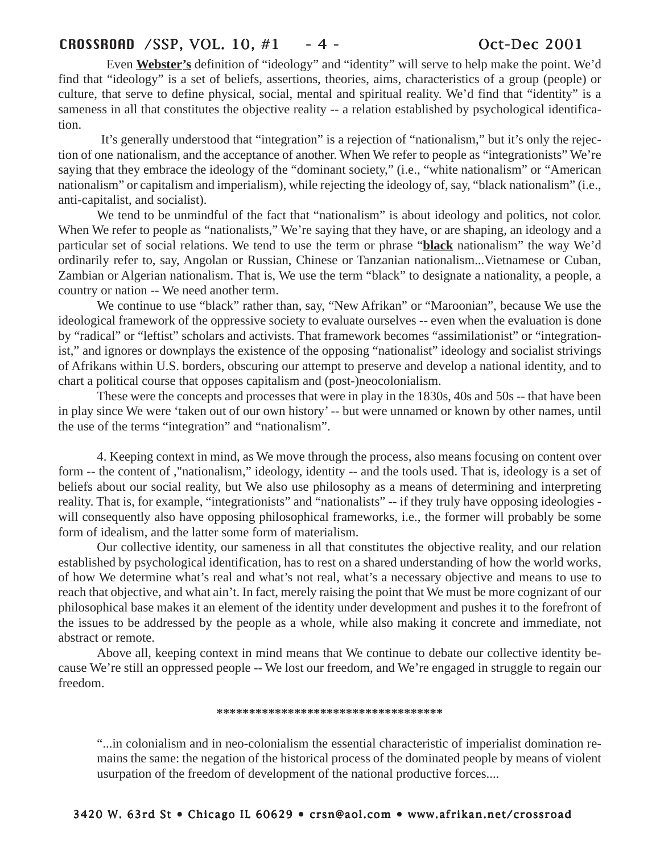# CROSSROAD /SSP, VOL. 10, #1 - 4 - Oct-Dec 2001

Even **Webster's** definition of "ideology" and "identity" will serve to help make the point. We'd find that "ideology" is a set of beliefs, assertions, theories, aims, characteristics of a group (people) or culture, that serve to define physical, social, mental and spiritual reality. We'd find that "identity" is a sameness in all that constitutes the objective reality -- a relation established by psychological identification.

It's generally understood that "integration" is a rejection of "nationalism," but it's only the rejection of one nationalism, and the acceptance of another. When We refer to people as "integrationists" We're saying that they embrace the ideology of the "dominant society," (i.e., "white nationalism" or "American nationalism" or capitalism and imperialism), while rejecting the ideology of, say, "black nationalism" (i.e., anti-capitalist, and socialist).

We tend to be unmindful of the fact that "nationalism" is about ideology and politics, not color. When We refer to people as "nationalists," We're saying that they have, or are shaping, an ideology and a particular set of social relations. We tend to use the term or phrase "**black** nationalism" the way We'd ordinarily refer to, say, Angolan or Russian, Chinese or Tanzanian nationalism...Vietnamese or Cuban, Zambian or Algerian nationalism. That is, We use the term "black" to designate a nationality, a people, a country or nation -- We need another term.

We continue to use "black" rather than, say, "New Afrikan" or "Maroonian", because We use the ideological framework of the oppressive society to evaluate ourselves -- even when the evaluation is done by "radical" or "leftist" scholars and activists. That framework becomes "assimilationist" or "integrationist," and ignores or downplays the existence of the opposing "nationalist" ideology and socialist strivings of Afrikans within U.S. borders, obscuring our attempt to preserve and develop a national identity, and to chart a political course that opposes capitalism and (post-)neocolonialism.

These were the concepts and processes that were in play in the 1830s, 40s and 50s -- that have been in play since We were 'taken out of our own history' -- but were unnamed or known by other names, until the use of the terms "integration" and "nationalism".

4. Keeping context in mind, as We move through the process, also means focusing on content over form -- the content of ,"nationalism," ideology, identity -- and the tools used. That is, ideology is a set of beliefs about our social reality, but We also use philosophy as a means of determining and interpreting reality. That is, for example, "integrationists" and "nationalists" -- if they truly have opposing ideologies will consequently also have opposing philosophical frameworks, i.e., the former will probably be some form of idealism, and the latter some form of materialism.

Our collective identity, our sameness in all that constitutes the objective reality, and our relation established by psychological identification, has to rest on a shared understanding of how the world works, of how We determine what's real and what's not real, what's a necessary objective and means to use to reach that objective, and what ain't. In fact, merely raising the point that We must be more cognizant of our philosophical base makes it an element of the identity under development and pushes it to the forefront of the issues to be addressed by the people as a whole, while also making it concrete and immediate, not abstract or remote.

Above all, keeping context in mind means that We continue to debate our collective identity because We're still an oppressed people -- We lost our freedom, and We're engaged in struggle to regain our freedom.

## **\*\*\*\*\*\*\*\*\*\*\*\*\*\*\*\*\*\*\*\*\*\*\*\*\*\*\*\*\*\*\*\*\*\*\***

"...in colonialism and in neo-colonialism the essential characteristic of imperialist domination remains the same: the negation of the historical process of the dominated people by means of violent usurpation of the freedom of development of the national productive forces....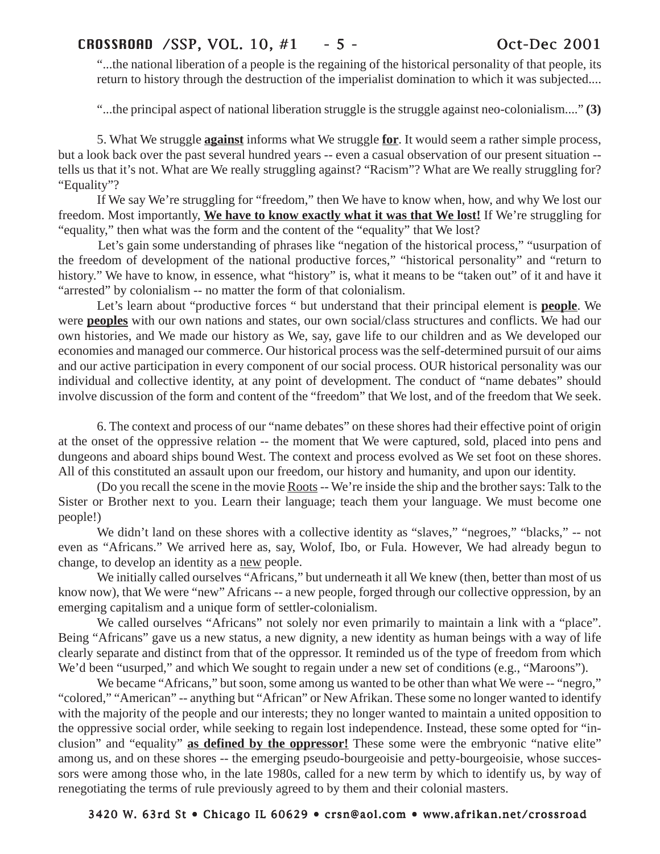"...the national liberation of a people is the regaining of the historical personality of that people, its return to history through the destruction of the imperialist domination to which it was subjected....

"...the principal aspect of national liberation struggle is the struggle against neo-colonialism...." **(3)**

5. What We struggle **against** informs what We struggle **for**. It would seem a rather simple process, but a look back over the past several hundred years -- even a casual observation of our present situation - tells us that it's not. What are We really struggling against? "Racism"? What are We really struggling for? "Equality"?

If We say We're struggling for "freedom," then We have to know when, how, and why We lost our freedom. Most importantly, **We have to know exactly what it was that We lost!** If We're struggling for "equality," then what was the form and the content of the "equality" that We lost?

Let's gain some understanding of phrases like "negation of the historical process," "usurpation of the freedom of development of the national productive forces," "historical personality" and "return to history." We have to know, in essence, what "history" is, what it means to be "taken out" of it and have it "arrested" by colonialism -- no matter the form of that colonialism.

Let's learn about "productive forces " but understand that their principal element is **people**. We were **peoples** with our own nations and states, our own social/class structures and conflicts. We had our own histories, and We made our history as We, say, gave life to our children and as We developed our economies and managed our commerce. Our historical process was the self-determined pursuit of our aims and our active participation in every component of our social process. OUR historical personality was our individual and collective identity, at any point of development. The conduct of "name debates" should involve discussion of the form and content of the "freedom" that We lost, and of the freedom that We seek.

6. The context and process of our "name debates" on these shores had their effective point of origin at the onset of the oppressive relation -- the moment that We were captured, sold, placed into pens and dungeons and aboard ships bound West. The context and process evolved as We set foot on these shores. All of this constituted an assault upon our freedom, our history and humanity, and upon our identity.

(Do you recall the scene in the movie Roots -- We're inside the ship and the brother says: Talk to the Sister or Brother next to you. Learn their language; teach them your language. We must become one people!)

We didn't land on these shores with a collective identity as "slaves," "negroes," "blacks," -- not even as "Africans." We arrived here as, say, Wolof, Ibo, or Fula. However, We had already begun to change, to develop an identity as a new people.

We initially called ourselves "Africans," but underneath it all We knew (then, better than most of us know now), that We were "new" Africans -- a new people, forged through our collective oppression, by an emerging capitalism and a unique form of settler-colonialism.

We called ourselves "Africans" not solely nor even primarily to maintain a link with a "place". Being "Africans" gave us a new status, a new dignity, a new identity as human beings with a way of life clearly separate and distinct from that of the oppressor. It reminded us of the type of freedom from which We'd been "usurped," and which We sought to regain under a new set of conditions (e.g., "Maroons").

We became "Africans," but soon, some among us wanted to be other than what We were -- "negro," "colored," "American" -- anything but "African" or New Afrikan. These some no longer wanted to identify with the majority of the people and our interests; they no longer wanted to maintain a united opposition to the oppressive social order, while seeking to regain lost independence. Instead, these some opted for "inclusion" and "equality" **as defined by the oppressor!** These some were the embryonic "native elite" among us, and on these shores -- the emerging pseudo-bourgeoisie and petty-bourgeoisie, whose successors were among those who, in the late 1980s, called for a new term by which to identify us, by way of renegotiating the terms of rule previously agreed to by them and their colonial masters.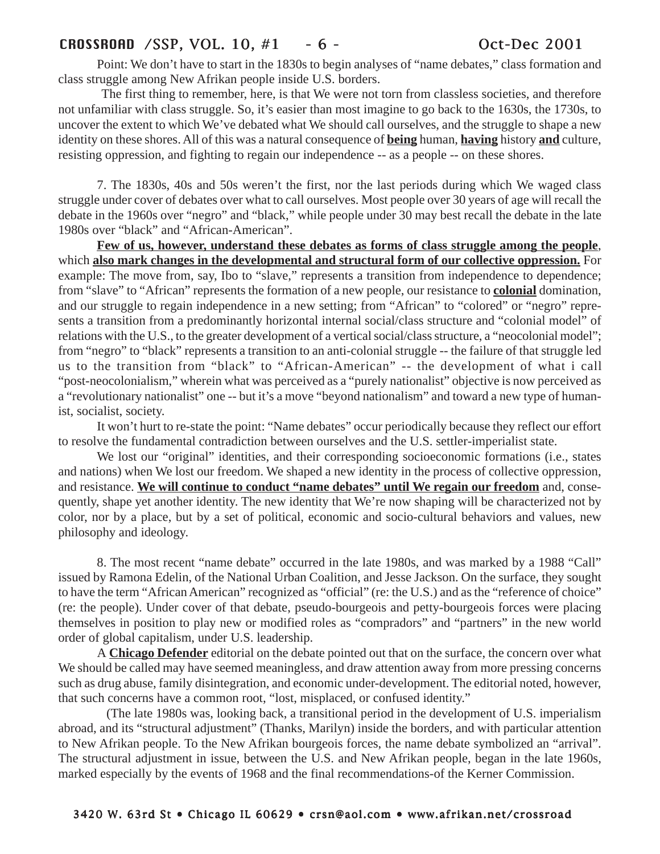# CROSSROAD /SSP, VOL. 10, #1 - 6 - Oct-Dec 2001

Point: We don't have to start in the 1830s to begin analyses of "name debates," class formation and class struggle among New Afrikan people inside U.S. borders.

The first thing to remember, here, is that We were not torn from classless societies, and therefore not unfamiliar with class struggle. So, it's easier than most imagine to go back to the 1630s, the 1730s, to uncover the extent to which We've debated what We should call ourselves, and the struggle to shape a new identity on these shores. All of this was a natural consequence of **being** human, **having** history **and** culture, resisting oppression, and fighting to regain our independence -- as a people -- on these shores.

7. The 1830s, 40s and 50s weren't the first, nor the last periods during which We waged class struggle under cover of debates over what to call ourselves. Most people over 30 years of age will recall the debate in the 1960s over "negro" and "black," while people under 30 may best recall the debate in the late 1980s over "black" and "African-American".

**Few of us, however, understand these debates as forms of class struggle among the people**, which **also mark changes in the developmental and structural form of our collective oppression.** For example: The move from, say, Ibo to "slave," represents a transition from independence to dependence; from "slave" to "African" represents the formation of a new people, our resistance to **colonial** domination, and our struggle to regain independence in a new setting; from "African" to "colored" or "negro" represents a transition from a predominantly horizontal internal social/class structure and "colonial model" of relations with the U.S., to the greater development of a vertical social/class structure, a "neocolonial model"; from "negro" to "black" represents a transition to an anti-colonial struggle -- the failure of that struggle led us to the transition from "black" to "African-American" -- the development of what i call "post-neocolonialism," wherein what was perceived as a "purely nationalist" objective is now perceived as a "revolutionary nationalist" one -- but it's a move "beyond nationalism" and toward a new type of humanist, socialist, society.

It won't hurt to re-state the point: "Name debates" occur periodically because they reflect our effort to resolve the fundamental contradiction between ourselves and the U.S. settler-imperialist state.

We lost our "original" identities, and their corresponding socioeconomic formations (i.e., states and nations) when We lost our freedom. We shaped a new identity in the process of collective oppression, and resistance. **We will continue to conduct "name debates" until We regain our freedom** and, consequently, shape yet another identity. The new identity that We're now shaping will be characterized not by color, nor by a place, but by a set of political, economic and socio-cultural behaviors and values, new philosophy and ideology.

8. The most recent "name debate" occurred in the late 1980s, and was marked by a 1988 "Call" issued by Ramona Edelin, of the National Urban Coalition, and Jesse Jackson. On the surface, they sought to have the term "African American" recognized as "official" (re: the U.S.) and as the "reference of choice" (re: the people). Under cover of that debate, pseudo-bourgeois and petty-bourgeois forces were placing themselves in position to play new or modified roles as "compradors" and "partners" in the new world order of global capitalism, under U.S. leadership.

A **Chicago Defender** editorial on the debate pointed out that on the surface, the concern over what We should be called may have seemed meaningless, and draw attention away from more pressing concerns such as drug abuse, family disintegration, and economic under-development. The editorial noted, however, that such concerns have a common root, "lost, misplaced, or confused identity."

(The late 1980s was, looking back, a transitional period in the development of U.S. imperialism abroad, and its "structural adjustment" (Thanks, Marilyn) inside the borders, and with particular attention to New Afrikan people. To the New Afrikan bourgeois forces, the name debate symbolized an "arrival". The structural adjustment in issue, between the U.S. and New Afrikan people, began in the late 1960s, marked especially by the events of 1968 and the final recommendations-of the Kerner Commission.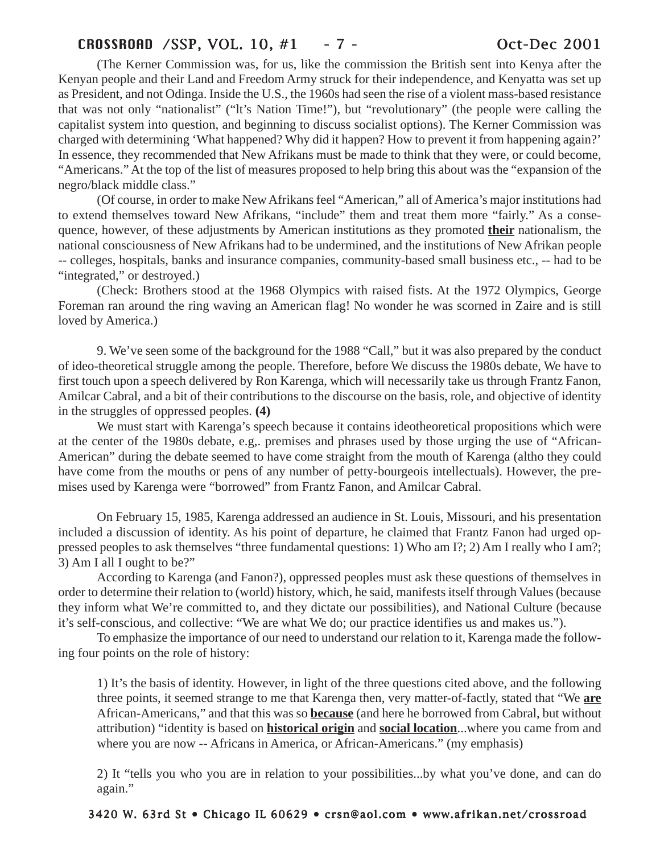# CROSSROAD /SSP, VOL. 10, #1 - 7 - Oct-Dec 2001

(The Kerner Commission was, for us, like the commission the British sent into Kenya after the Kenyan people and their Land and Freedom Army struck for their independence, and Kenyatta was set up as President, and not Odinga. Inside the U.S., the 1960s had seen the rise of a violent mass-based resistance that was not only "nationalist" ("lt's Nation Time!"), but "revolutionary" (the people were calling the capitalist system into question, and beginning to discuss socialist options). The Kerner Commission was charged with determining 'What happened? Why did it happen? How to prevent it from happening again?' In essence, they recommended that New Afrikans must be made to think that they were, or could become, "Americans." At the top of the list of measures proposed to help bring this about was the "expansion of the negro/black middle class."

(Of course, in order to make New Afrikans feel "American," all of America's major institutions had to extend themselves toward New Afrikans, "include" them and treat them more "fairly." As a consequence, however, of these adjustments by American institutions as they promoted **their** nationalism, the national consciousness of New Afrikans had to be undermined, and the institutions of New Afrikan people -- colleges, hospitals, banks and insurance companies, community-based small business etc., -- had to be "integrated," or destroyed.)

(Check: Brothers stood at the 1968 Olympics with raised fists. At the 1972 Olympics, George Foreman ran around the ring waving an American flag! No wonder he was scorned in Zaire and is still loved by America.)

9. We've seen some of the background for the 1988 "Call," but it was also prepared by the conduct of ideo-theoretical struggle among the people. Therefore, before We discuss the 1980s debate, We have to first touch upon a speech delivered by Ron Karenga, which will necessarily take us through Frantz Fanon, Amilcar Cabral, and a bit of their contributions to the discourse on the basis, role, and objective of identity in the struggles of oppressed peoples. **(4)**

We must start with Karenga's speech because it contains ideotheoretical propositions which were at the center of the 1980s debate, e.g,. premises and phrases used by those urging the use of "African-American" during the debate seemed to have come straight from the mouth of Karenga (altho they could have come from the mouths or pens of any number of petty-bourgeois intellectuals). However, the premises used by Karenga were "borrowed" from Frantz Fanon, and Amilcar Cabral.

On February 15, 1985, Karenga addressed an audience in St. Louis, Missouri, and his presentation included a discussion of identity. As his point of departure, he claimed that Frantz Fanon had urged oppressed peoples to ask themselves "three fundamental questions: 1) Who am I?; 2) Am I really who I am?; 3) Am I all I ought to be?"

According to Karenga (and Fanon?), oppressed peoples must ask these questions of themselves in order to determine their relation to (world) history, which, he said, manifests itself through Values (because they inform what We're committed to, and they dictate our possibilities), and National Culture (because it's self-conscious, and collective: "We are what We do; our practice identifies us and makes us.").

To emphasize the importance of our need to understand our relation to it, Karenga made the following four points on the role of history:

1) It's the basis of identity. However, in light of the three questions cited above, and the following three points, it seemed strange to me that Karenga then, very matter-of-factly, stated that "We **are** African-Americans," and that this was so **because** (and here he borrowed from Cabral, but without attribution) "identity is based on **historical origin** and **social location**...where you came from and where you are now -- Africans in America, or African-Americans." (my emphasis)

2) It "tells you who you are in relation to your possibilities...by what you've done, and can do again."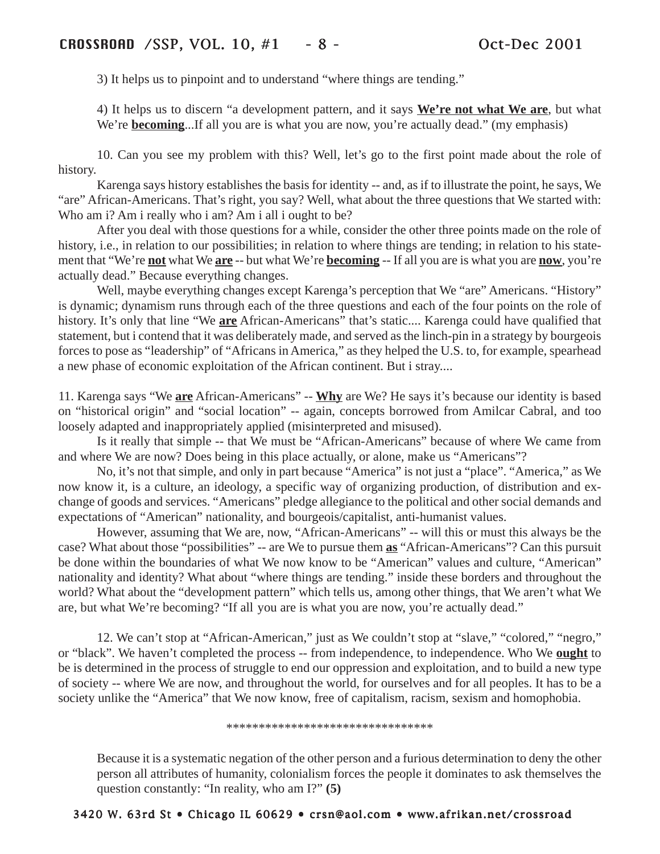3) It helps us to pinpoint and to understand "where things are tending."

4) It helps us to discern "a development pattern, and it says **We're not what We are**, but what We're **becoming**...If all you are is what you are now, you're actually dead." (my emphasis)

10. Can you see my problem with this? Well, let's go to the first point made about the role of history.

Karenga says history establishes the basis for identity -- and, as if to illustrate the point, he says, We "are" African-Americans. That's right, you say? Well, what about the three questions that We started with: Who am i? Am i really who i am? Am i all i ought to be?

After you deal with those questions for a while, consider the other three points made on the role of history, i.e., in relation to our possibilities; in relation to where things are tending; in relation to his statement that "We're **not** what We **are** -- but what We're **becoming** -- If all you are is what you are **now**, you're actually dead." Because everything changes.

Well, maybe everything changes except Karenga's perception that We "are" Americans. "History" is dynamic; dynamism runs through each of the three questions and each of the four points on the role of history. It's only that line "We **are** African-Americans" that's static.... Karenga could have qualified that statement, but i contend that it was deliberately made, and served as the linch-pin in a strategy by bourgeois forces to pose as "leadership" of "Africans in America," as they helped the U.S. to, for example, spearhead a new phase of economic exploitation of the African continent. But i stray....

11. Karenga says "We **are** African-Americans" -- **Why** are We? He says it's because our identity is based on "historical origin" and "social location" -- again, concepts borrowed from Amilcar Cabral, and too loosely adapted and inappropriately applied (misinterpreted and misused).

Is it really that simple -- that We must be "African-Americans" because of where We came from and where We are now? Does being in this place actually, or alone, make us "Americans"?

No, it's not that simple, and only in part because "America" is not just a "place". "America," as We now know it, is a culture, an ideology, a specific way of organizing production, of distribution and exchange of goods and services. "Americans" pledge allegiance to the political and other social demands and expectations of "American" nationality, and bourgeois/capitalist, anti-humanist values.

However, assuming that We are, now, "African-Americans" -- will this or must this always be the case? What about those "possibilities" -- are We to pursue them **as** "African-Americans"? Can this pursuit be done within the boundaries of what We now know to be "American" values and culture, "American" nationality and identity? What about "where things are tending." inside these borders and throughout the world? What about the "development pattern" which tells us, among other things, that We aren't what We are, but what We're becoming? "If all you are is what you are now, you're actually dead."

12. We can't stop at "African-American," just as We couldn't stop at "slave," "colored," "negro," or "black". We haven't completed the process -- from independence, to independence. Who We **ought** to be is determined in the process of struggle to end our oppression and exploitation, and to build a new type of society -- where We are now, and throughout the world, for ourselves and for all peoples. It has to be a society unlike the "America" that We now know, free of capitalism, racism, sexism and homophobia.

\*\*\*\*\*\*\*\*\*\*\*\*\*\*\*\*\*\*\*\*\*\*\*\*\*\*\*\*\*\*\*\*

Because it is a systematic negation of the other person and a furious determination to deny the other person all attributes of humanity, colonialism forces the people it dominates to ask themselves the question constantly: "In reality, who am I?" **(5)**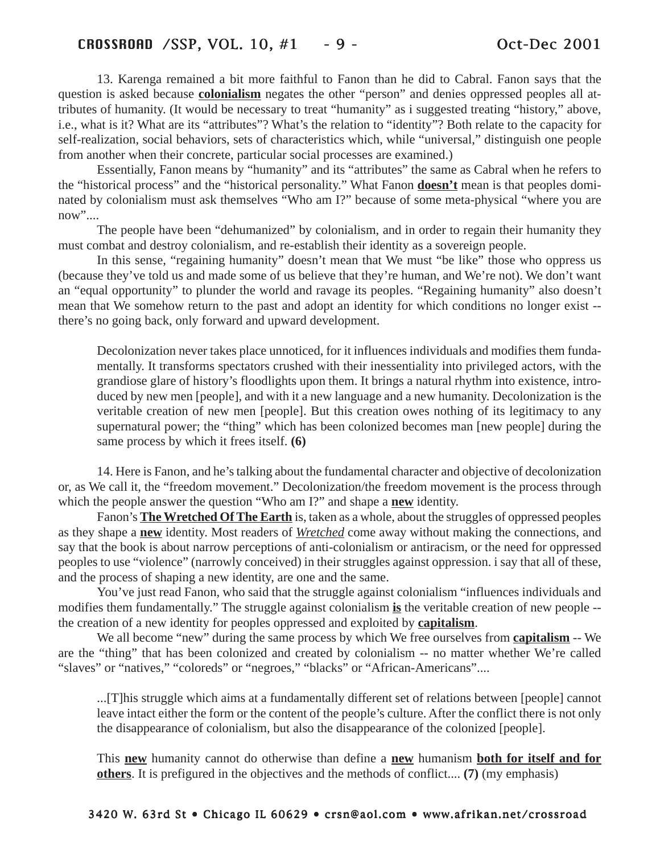13. Karenga remained a bit more faithful to Fanon than he did to Cabral. Fanon says that the question is asked because **colonialism** negates the other "person" and denies oppressed peoples all attributes of humanity. (It would be necessary to treat "humanity" as i suggested treating "history," above, i.e., what is it? What are its "attributes"? What's the relation to "identity"? Both relate to the capacity for self-realization, social behaviors, sets of characteristics which, while "universal," distinguish one people from another when their concrete, particular social processes are examined.)

Essentially, Fanon means by "humanity" and its "attributes" the same as Cabral when he refers to the "historical process" and the "historical personality." What Fanon **doesn't** mean is that peoples dominated by colonialism must ask themselves "Who am I?" because of some meta-physical "where you are now"....

The people have been "dehumanized" by colonialism, and in order to regain their humanity they must combat and destroy colonialism, and re-establish their identity as a sovereign people.

In this sense, "regaining humanity" doesn't mean that We must "be like" those who oppress us (because they've told us and made some of us believe that they're human, and We're not). We don't want an "equal opportunity" to plunder the world and ravage its peoples. "Regaining humanity" also doesn't mean that We somehow return to the past and adopt an identity for which conditions no longer exist - there's no going back, only forward and upward development.

Decolonization never takes place unnoticed, for it influences individuals and modifies them fundamentally. It transforms spectators crushed with their inessentiality into privileged actors, with the grandiose glare of history's floodlights upon them. It brings a natural rhythm into existence, introduced by new men [people], and with it a new language and a new humanity. Decolonization is the veritable creation of new men [people]. But this creation owes nothing of its legitimacy to any supernatural power; the "thing" which has been colonized becomes man [new people] during the same process by which it frees itself. **(6)**

14. Here is Fanon, and he's talking about the fundamental character and objective of decolonization or, as We call it, the "freedom movement." Decolonization/the freedom movement is the process through which the people answer the question "Who am I?" and shape a **new** identity.

Fanon's **The Wretched Of The Earth** is, taken as a whole, about the struggles of oppressed peoples as they shape a **new** identity. Most readers of *Wretched* come away without making the connections, and say that the book is about narrow perceptions of anti-colonialism or antiracism, or the need for oppressed peoples to use "violence" (narrowly conceived) in their struggles against oppression. i say that all of these, and the process of shaping a new identity, are one and the same.

You've just read Fanon, who said that the struggle against colonialism "influences individuals and modifies them fundamentally." The struggle against colonialism **is** the veritable creation of new people - the creation of a new identity for peoples oppressed and exploited by **capitalism**.

We all become "new" during the same process by which We free ourselves from **capitalism** -- We are the "thing" that has been colonized and created by colonialism -- no matter whether We're called "slaves" or "natives," "coloreds" or "negroes," "blacks" or "African-Americans"....

...[T]his struggle which aims at a fundamentally different set of relations between [people] cannot leave intact either the form or the content of the people's culture. After the conflict there is not only the disappearance of colonialism, but also the disappearance of the colonized [people].

This **new** humanity cannot do otherwise than define a **new** humanism **both for itself and for others**. It is prefigured in the objectives and the methods of conflict.... **(7)** (my emphasis)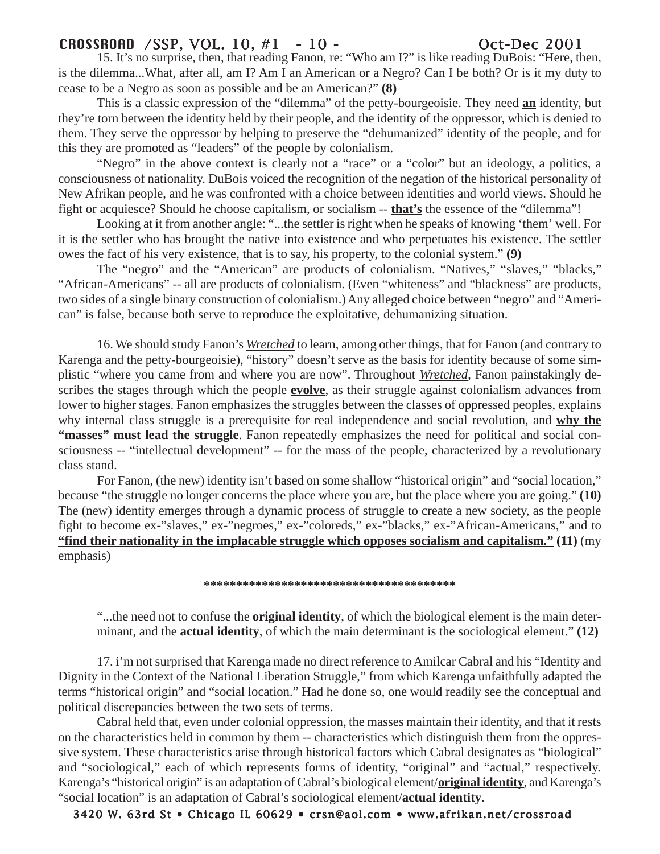# CROSSROAD /SSP, VOL. 10, #1 - 10 - Oct-Dec 2001

15. It's no surprise, then, that reading Fanon, re: "Who am I?" is like reading DuBois: "Here, then, is the dilemma...What, after all, am I? Am I an American or a Negro? Can I be both? Or is it my duty to cease to be a Negro as soon as possible and be an American?" **(8)**

This is a classic expression of the "dilemma" of the petty-bourgeoisie. They need **an** identity, but they're torn between the identity held by their people, and the identity of the oppressor, which is denied to them. They serve the oppressor by helping to preserve the "dehumanized" identity of the people, and for this they are promoted as "leaders" of the people by colonialism.

"Negro" in the above context is clearly not a "race" or a "color" but an ideology, a politics, a consciousness of nationality. DuBois voiced the recognition of the negation of the historical personality of New Afrikan people, and he was confronted with a choice between identities and world views. Should he fight or acquiesce? Should he choose capitalism, or socialism -- **that's** the essence of the "dilemma"!

Looking at it from another angle: "...the settler is right when he speaks of knowing 'them' well. For it is the settler who has brought the native into existence and who perpetuates his existence. The settler owes the fact of his very existence, that is to say, his property, to the colonial system." **(9)**

The "negro" and the "American" are products of colonialism. "Natives," "slaves," "blacks," "African-Americans" -- all are products of colonialism. (Even "whiteness" and "blackness" are products, two sides of a single binary construction of colonialism.) Any alleged choice between "negro" and "American" is false, because both serve to reproduce the exploitative, dehumanizing situation.

16. We should study Fanon's *Wretched* to learn, among other things, that for Fanon (and contrary to Karenga and the petty-bourgeoisie), "history" doesn't serve as the basis for identity because of some simplistic "where you came from and where you are now". Throughout *Wretched*, Fanon painstakingly describes the stages through which the people **evolve**, as their struggle against colonialism advances from lower to higher stages. Fanon emphasizes the struggles between the classes of oppressed peoples, explains why internal class struggle is a prerequisite for real independence and social revolution, and **why the "masses" must lead the struggle**. Fanon repeatedly emphasizes the need for political and social consciousness -- "intellectual development" -- for the mass of the people, characterized by a revolutionary class stand.

For Fanon, (the new) identity isn't based on some shallow "historical origin" and "social location," because "the struggle no longer concerns the place where you are, but the place where you are going." **(10)** The (new) identity emerges through a dynamic process of struggle to create a new society, as the people fight to become ex-"slaves," ex-"negroes," ex-"coloreds," ex-"blacks," ex-"African-Americans," and to **"find their nationality in the implacable struggle which opposes socialism and capitalism." (11)** (my emphasis)

## **\*\*\*\*\*\*\*\*\*\*\*\*\*\*\*\*\*\*\*\*\*\*\*\*\*\*\*\*\*\*\*\*\*\*\*\*\*\*\***

"...the need not to confuse the **original identity**, of which the biological element is the main determinant, and the **actual identity**, of which the main determinant is the sociological element." **(12)**

17. i'm not surprised that Karenga made no direct reference to Amilcar Cabral and his "Identity and Dignity in the Context of the National Liberation Struggle," from which Karenga unfaithfully adapted the terms "historical origin" and "social location." Had he done so, one would readily see the conceptual and political discrepancies between the two sets of terms.

Cabral held that, even under colonial oppression, the masses maintain their identity, and that it rests on the characteristics held in common by them -- characteristics which distinguish them from the oppressive system. These characteristics arise through historical factors which Cabral designates as "biological" and "sociological," each of which represents forms of identity, "original" and "actual," respectively. Karenga's "historical origin" is an adaptation of Cabral's biological element/**original identity**, and Karenga's "social location" is an adaptation of Cabral's sociological element/**actual identity**.

3420 W. 63rd St • Chicago IL 60629 • crsn@aol.com • www.afrikan.net/crossroad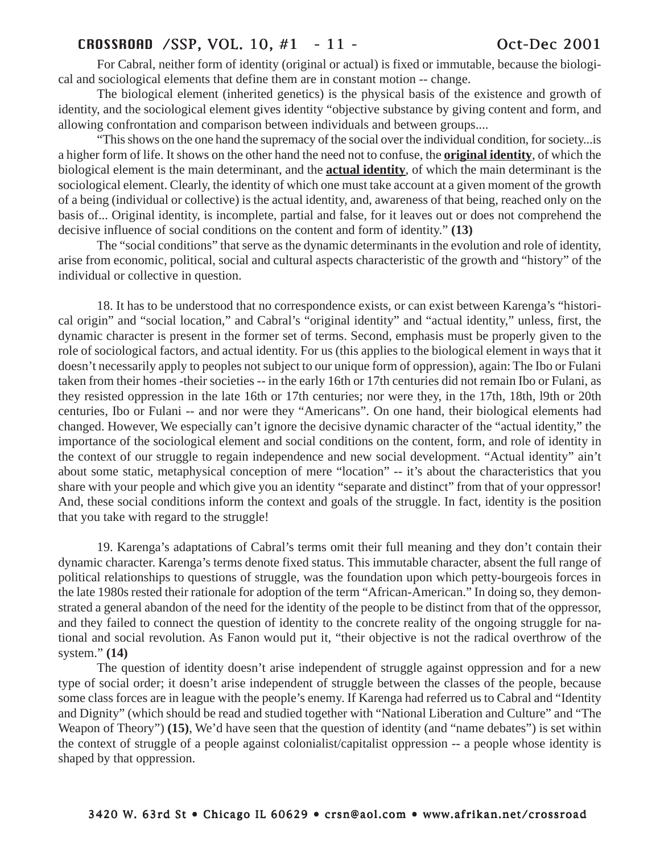# CROSSROAD /SSP, VOL. 10, #1 - 11 - Oct-Dec 2001

For Cabral, neither form of identity (original or actual) is fixed or immutable, because the biological and sociological elements that define them are in constant motion -- change.

The biological element (inherited genetics) is the physical basis of the existence and growth of identity, and the sociological element gives identity "objective substance by giving content and form, and allowing confrontation and comparison between individuals and between groups....

"This shows on the one hand the supremacy of the social over the individual condition, for society...is a higher form of life. It shows on the other hand the need not to confuse, the **original identity**, of which the biological element is the main determinant, and the **actual identity**, of which the main determinant is the sociological element. Clearly, the identity of which one must take account at a given moment of the growth of a being (individual or collective) is the actual identity, and, awareness of that being, reached only on the basis of... Original identity, is incomplete, partial and false, for it leaves out or does not comprehend the decisive influence of social conditions on the content and form of identity." **(13)**

The "social conditions" that serve as the dynamic determinants in the evolution and role of identity, arise from economic, political, social and cultural aspects characteristic of the growth and "history" of the individual or collective in question.

18. It has to be understood that no correspondence exists, or can exist between Karenga's "historical origin" and "social location," and Cabral's "original identity" and "actual identity," unless, first, the dynamic character is present in the former set of terms. Second, emphasis must be properly given to the role of sociological factors, and actual identity. For us (this applies to the biological element in ways that it doesn't necessarily apply to peoples not subject to our unique form of oppression), again: The Ibo or Fulani taken from their homes -their societies -- in the early 16th or 17th centuries did not remain Ibo or Fulani, as they resisted oppression in the late 16th or 17th centuries; nor were they, in the 17th, 18th, l9th or 20th centuries, Ibo or Fulani -- and nor were they "Americans". On one hand, their biological elements had changed. However, We especially can't ignore the decisive dynamic character of the "actual identity," the importance of the sociological element and social conditions on the content, form, and role of identity in the context of our struggle to regain independence and new social development. "Actual identity" ain't about some static, metaphysical conception of mere "location" -- it's about the characteristics that you share with your people and which give you an identity "separate and distinct" from that of your oppressor! And, these social conditions inform the context and goals of the struggle. In fact, identity is the position that you take with regard to the struggle!

19. Karenga's adaptations of Cabral's terms omit their full meaning and they don't contain their dynamic character. Karenga's terms denote fixed status. This immutable character, absent the full range of political relationships to questions of struggle, was the foundation upon which petty-bourgeois forces in the late 1980s rested their rationale for adoption of the term "African-American." In doing so, they demonstrated a general abandon of the need for the identity of the people to be distinct from that of the oppressor, and they failed to connect the question of identity to the concrete reality of the ongoing struggle for national and social revolution. As Fanon would put it, "their objective is not the radical overthrow of the system." **(14)**

The question of identity doesn't arise independent of struggle against oppression and for a new type of social order; it doesn't arise independent of struggle between the classes of the people, because some class forces are in league with the people's enemy. If Karenga had referred us to Cabral and "Identity and Dignity" (which should be read and studied together with "National Liberation and Culture" and "The Weapon of Theory") **(15)**, We'd have seen that the question of identity (and "name debates") is set within the context of struggle of a people against colonialist/capitalist oppression -- a people whose identity is shaped by that oppression.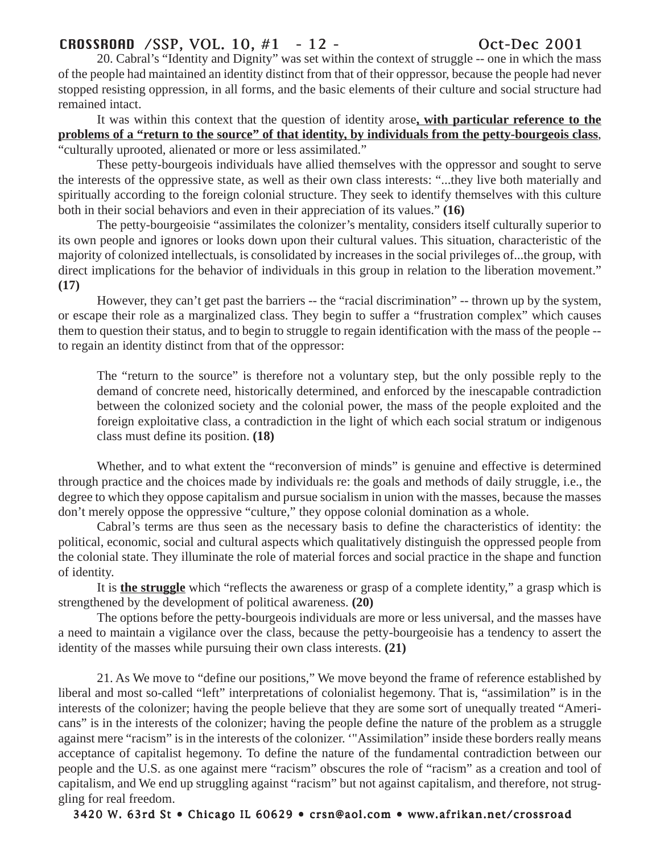# CROSSROAD /SSP, VOL. 10, #1 - 12 - Oct-Dec 2001

20. Cabral's "Identity and Dignity" was set within the context of struggle -- one in which the mass of the people had maintained an identity distinct from that of their oppressor, because the people had never stopped resisting oppression, in all forms, and the basic elements of their culture and social structure had remained intact.

It was within this context that the question of identity arose**, with particular reference to the problems of a "return to the source" of that identity, by individuals from the petty-bourgeois class**, "culturally uprooted, alienated or more or less assimilated."

These petty-bourgeois individuals have allied themselves with the oppressor and sought to serve the interests of the oppressive state, as well as their own class interests: "...they live both materially and spiritually according to the foreign colonial structure. They seek to identify themselves with this culture both in their social behaviors and even in their appreciation of its values." **(16)**

The petty-bourgeoisie "assimilates the colonizer's mentality, considers itself culturally superior to its own people and ignores or looks down upon their cultural values. This situation, characteristic of the majority of colonized intellectuals, is consolidated by increases in the social privileges of...the group, with direct implications for the behavior of individuals in this group in relation to the liberation movement." **(17)**

However, they can't get past the barriers -- the "racial discrimination" -- thrown up by the system, or escape their role as a marginalized class. They begin to suffer a "frustration complex" which causes them to question their status, and to begin to struggle to regain identification with the mass of the people - to regain an identity distinct from that of the oppressor:

The "return to the source" is therefore not a voluntary step, but the only possible reply to the demand of concrete need, historically determined, and enforced by the inescapable contradiction between the colonized society and the colonial power, the mass of the people exploited and the foreign exploitative class, a contradiction in the light of which each social stratum or indigenous class must define its position. **(18)**

Whether, and to what extent the "reconversion of minds" is genuine and effective is determined through practice and the choices made by individuals re: the goals and methods of daily struggle, i.e., the degree to which they oppose capitalism and pursue socialism in union with the masses, because the masses don't merely oppose the oppressive "culture," they oppose colonial domination as a whole.

Cabral's terms are thus seen as the necessary basis to define the characteristics of identity: the political, economic, social and cultural aspects which qualitatively distinguish the oppressed people from the colonial state. They illuminate the role of material forces and social practice in the shape and function of identity.

It is **the struggle** which "reflects the awareness or grasp of a complete identity," a grasp which is strengthened by the development of political awareness. **(20)**

The options before the petty-bourgeois individuals are more or less universal, and the masses have a need to maintain a vigilance over the class, because the petty-bourgeoisie has a tendency to assert the identity of the masses while pursuing their own class interests. **(21)**

21. As We move to "define our positions," We move beyond the frame of reference established by liberal and most so-called "left" interpretations of colonialist hegemony. That is, "assimilation" is in the interests of the colonizer; having the people believe that they are some sort of unequally treated "Americans" is in the interests of the colonizer; having the people define the nature of the problem as a struggle against mere "racism" is in the interests of the colonizer. '"Assimilation" inside these borders really means acceptance of capitalist hegemony. To define the nature of the fundamental contradiction between our people and the U.S. as one against mere "racism" obscures the role of "racism" as a creation and tool of capitalism, and We end up struggling against "racism" but not against capitalism, and therefore, not struggling for real freedom.

3420 W. 63rd St • Chicago IL 60629 • crsn@aol.com • www.afrikan.net/crossroad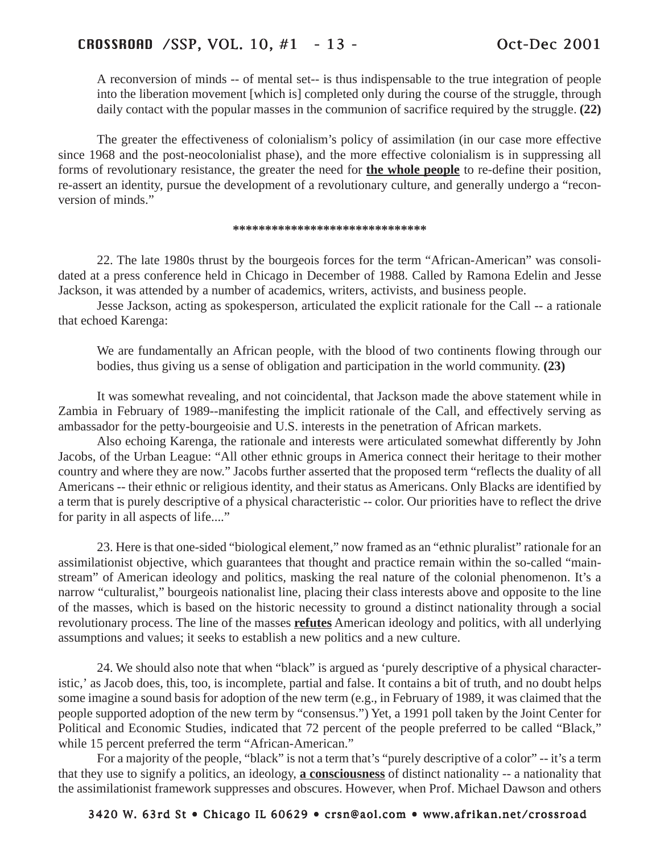A reconversion of minds -- of mental set-- is thus indispensable to the true integration of people into the liberation movement [which is] completed only during the course of the struggle, through daily contact with the popular masses in the communion of sacrifice required by the struggle. **(22)**

The greater the effectiveness of colonialism's policy of assimilation (in our case more effective since 1968 and the post-neocolonialist phase), and the more effective colonialism is in suppressing all forms of revolutionary resistance, the greater the need for **the whole people** to re-define their position, re-assert an identity, pursue the development of a revolutionary culture, and generally undergo a "reconversion of minds."

## **\*\*\*\*\*\*\*\*\*\*\*\*\*\*\*\*\*\*\*\*\*\*\*\*\*\*\*\*\*\***

22. The late 1980s thrust by the bourgeois forces for the term "African-American" was consolidated at a press conference held in Chicago in December of 1988. Called by Ramona Edelin and Jesse Jackson, it was attended by a number of academics, writers, activists, and business people.

Jesse Jackson, acting as spokesperson, articulated the explicit rationale for the Call -- a rationale that echoed Karenga:

We are fundamentally an African people, with the blood of two continents flowing through our bodies, thus giving us a sense of obligation and participation in the world community. **(23)**

It was somewhat revealing, and not coincidental, that Jackson made the above statement while in Zambia in February of 1989--manifesting the implicit rationale of the Call, and effectively serving as ambassador for the petty-bourgeoisie and U.S. interests in the penetration of African markets.

Also echoing Karenga, the rationale and interests were articulated somewhat differently by John Jacobs, of the Urban League: "All other ethnic groups in America connect their heritage to their mother country and where they are now." Jacobs further asserted that the proposed term "reflects the duality of all Americans -- their ethnic or religious identity, and their status as Americans. Only Blacks are identified by a term that is purely descriptive of a physical characteristic -- color. Our priorities have to reflect the drive for parity in all aspects of life...."

23. Here is that one-sided "biological element," now framed as an "ethnic pluralist" rationale for an assimilationist objective, which guarantees that thought and practice remain within the so-called "mainstream" of American ideology and politics, masking the real nature of the colonial phenomenon. It's a narrow "culturalist," bourgeois nationalist line, placing their class interests above and opposite to the line of the masses, which is based on the historic necessity to ground a distinct nationality through a social revolutionary process. The line of the masses **refutes** American ideology and politics, with all underlying assumptions and values; it seeks to establish a new politics and a new culture.

24. We should also note that when "black" is argued as 'purely descriptive of a physical characteristic,' as Jacob does, this, too, is incomplete, partial and false. It contains a bit of truth, and no doubt helps some imagine a sound basis for adoption of the new term (e.g., in February of 1989, it was claimed that the people supported adoption of the new term by "consensus.") Yet, a 1991 poll taken by the Joint Center for Political and Economic Studies, indicated that 72 percent of the people preferred to be called "Black," while 15 percent preferred the term "African-American."

For a majority of the people, "black" is not a term that's "purely descriptive of a color" -- it's a term that they use to signify a politics, an ideology, **a consciousness** of distinct nationality -- a nationality that the assimilationist framework suppresses and obscures. However, when Prof. Michael Dawson and others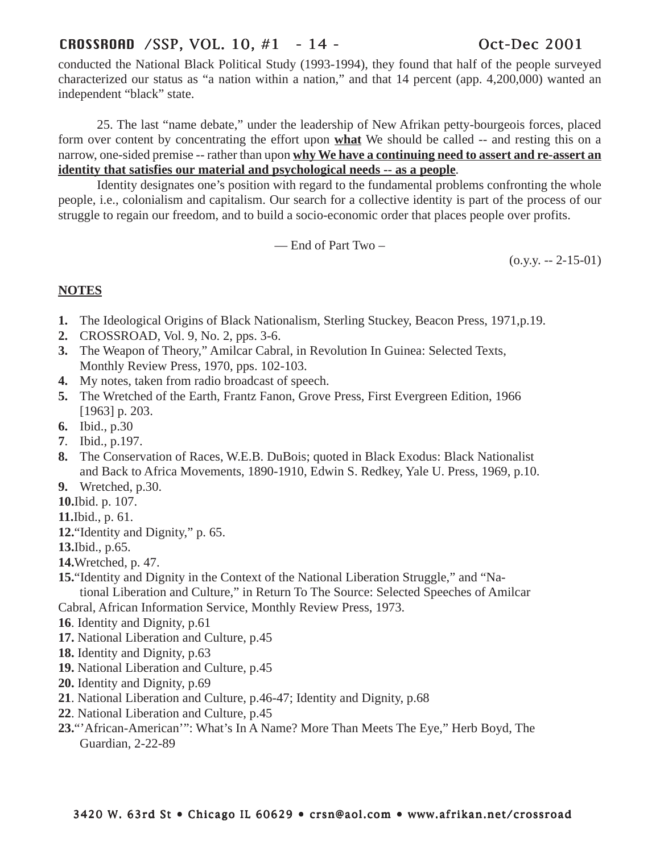# CROSSROAD /SSP, VOL. 10, #1 - 14 - Oct-Dec 2001

conducted the National Black Political Study (1993-1994), they found that half of the people surveyed characterized our status as "a nation within a nation," and that 14 percent (app. 4,200,000) wanted an independent "black" state.

25. The last "name debate," under the leadership of New Afrikan petty-bourgeois forces, placed form over content by concentrating the effort upon **what** We should be called -- and resting this on a narrow, one-sided premise -- rather than upon **why We have a continuing need to assert and re-assert an identity that satisfies our material and psychological needs -- as a people**.

Identity designates one's position with regard to the fundamental problems confronting the whole people, i.e., colonialism and capitalism. Our search for a collective identity is part of the process of our struggle to regain our freedom, and to build a socio-economic order that places people over profits.

— End of Part Two –

 $(0.9.9 - 2 - 15 - 01)$ 

# **NOTES**

- **1.** The Ideological Origins of Black Nationalism, Sterling Stuckey, Beacon Press, 1971,p.19.
- **2.** CROSSROAD, Vol. 9, No. 2, pps. 3-6.
- **3.** The Weapon of Theory," Amilcar Cabral, in Revolution In Guinea: Selected Texts, Monthly Review Press, 1970, pps. 102-103.
- **4.** My notes, taken from radio broadcast of speech.
- **5.** The Wretched of the Earth, Frantz Fanon, Grove Press, First Evergreen Edition, 1966 [1963] p. 203.
- **6.** Ibid., p.30
- **7**. Ibid., p.197.
- **8.** The Conservation of Races, W.E.B. DuBois; quoted in Black Exodus: Black Nationalist and Back to Africa Movements, 1890-1910, Edwin S. Redkey, Yale U. Press, 1969, p.10.
- **9.** Wretched, p.30.
- **10.**Ibid. p. 107.
- **11.**Ibid., p. 61.
- **12.**"Identity and Dignity," p. 65.
- **13.**Ibid., p.65.
- **14.**Wretched, p. 47.
- **15.**"Identity and Dignity in the Context of the National Liberation Struggle," and "Na-

tional Liberation and Culture," in Return To The Source: Selected Speeches of Amilcar Cabral, African Information Service, Monthly Review Press, 1973.

- **16**. Identity and Dignity, p.61
- **17.** National Liberation and Culture, p.45
- **18.** Identity and Dignity, p.63
- **19.** National Liberation and Culture, p.45
- **20.** Identity and Dignity, p.69
- **21**. National Liberation and Culture, p.46-47; Identity and Dignity, p.68
- **22**. National Liberation and Culture, p.45
- **23.**"'African-American'": What's In A Name? More Than Meets The Eye," Herb Boyd, The Guardian, 2-22-89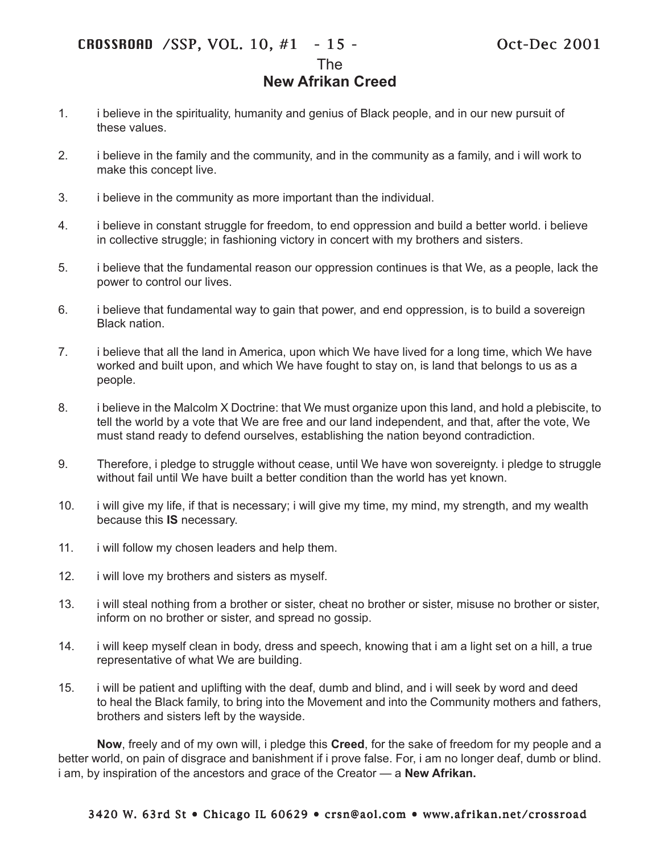The

# **New Afrikan Creed**

- 1. i believe in the spirituality, humanity and genius of Black people, and in our new pursuit of these values.
- 2. i believe in the family and the community, and in the community as a family, and i will work to make this concept live.
- 3. i believe in the community as more important than the individual.
- 4. i believe in constant struggle for freedom, to end oppression and build a better world. i believe in collective struggle; in fashioning victory in concert with my brothers and sisters.
- 5. i believe that the fundamental reason our oppression continues is that We, as a people, lack the power to control our lives.
- 6. i believe that fundamental way to gain that power, and end oppression, is to build a sovereign Black nation.
- 7. i believe that all the land in America, upon which We have lived for a long time, which We have worked and built upon, and which We have fought to stay on, is land that belongs to us as a people.
- 8. i believe in the Malcolm X Doctrine: that We must organize upon this land, and hold a plebiscite, to tell the world by a vote that We are free and our land independent, and that, after the vote, We must stand ready to defend ourselves, establishing the nation beyond contradiction.
- 9. Therefore, i pledge to struggle without cease, until We have won sovereignty. i pledge to struggle without fail until We have built a better condition than the world has yet known.
- 10. i will give my life, if that is necessary; i will give my time, my mind, my strength, and my wealth because this **IS** necessary.
- 11. i will follow my chosen leaders and help them.
- 12. i will love my brothers and sisters as myself.
- 13. i will steal nothing from a brother or sister, cheat no brother or sister, misuse no brother or sister, inform on no brother or sister, and spread no gossip.
- 14. i will keep myself clean in body, dress and speech, knowing that i am a light set on a hill, a true representative of what We are building.
- 15. i will be patient and uplifting with the deaf, dumb and blind, and i will seek by word and deed to heal the Black family, to bring into the Movement and into the Community mothers and fathers, brothers and sisters left by the wayside.

**Now**, freely and of my own will, i pledge this **Creed**, for the sake of freedom for my people and a better world, on pain of disgrace and banishment if i prove false. For, i am no longer deaf, dumb or blind. i am, by inspiration of the ancestors and grace of the Creator — a **New Afrikan.**